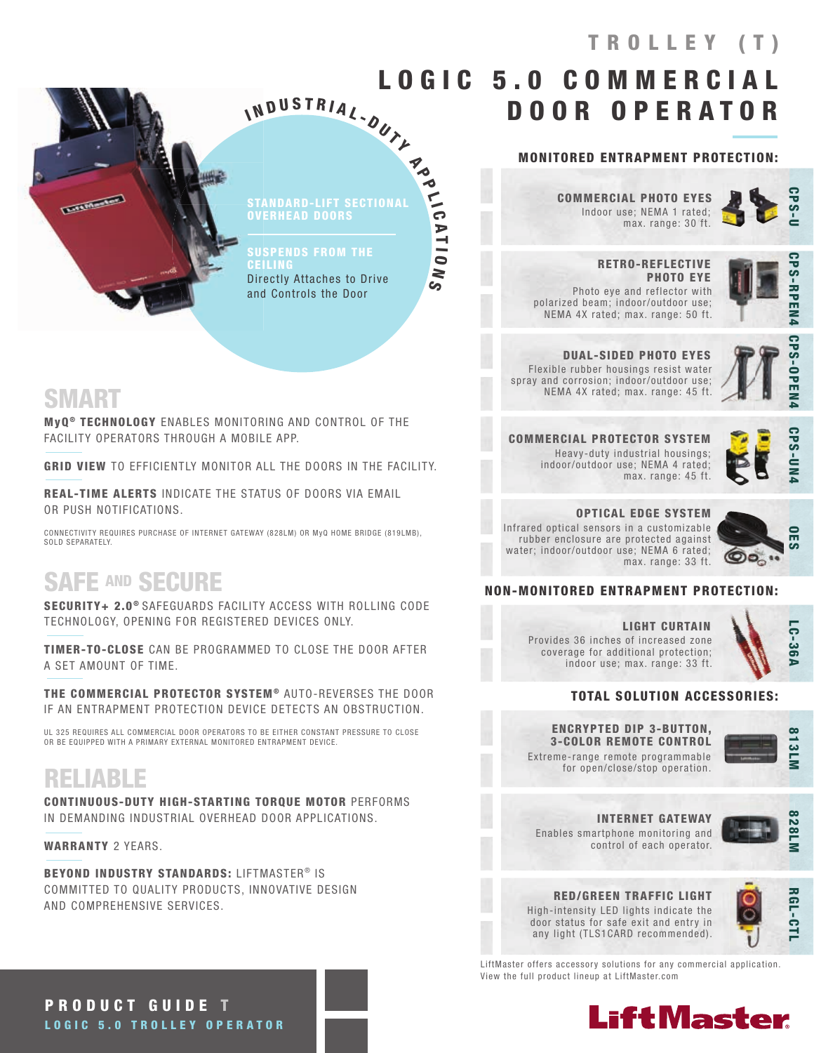LOGIC 5.0 COMMERCIAL DOOR OPERATOR N D U S T R I A L - DUTL

#### MONITORED ENTRAPMENT PROTECTION:

Indoor use; NEMA 1 rated; max. range: 30 ft. COMMERCIAL PHOTO EYES



 RETRO-REFLECTIVE PHOTO EYE Photo eye and reflector with polarized beam; indoor/outdoor use; NEMA 4X rated; max. range: 50 ft.



DUAL-SIDED PHOTO EYES Flexible rubber housings resist water spray and corrosion; indoor/outdoor use; NEMA 4X rated; max. range: 45 ft.



**CPS-OPEN** 

COMMERCIAL PROTECTOR SYSTEM Heavy-duty industrial housings; indoor/outdoor use; NEMA 4 rated; max. range: 45 ft.



OPTICAL EDGE SYSTEM Infrared optical sensors in a customizable rubber enclosure are protected against water; indoor/outdoor use; NEMA 6 rated; max. range: 33 ft.



#### NON-MONITORED ENTRAPMENT PROTECTION:

LIGHT CURTAIN Provides 36 inches of increased zone coverage for additional protection; indoor use; max. range: 33 ft.



#### TOTAL SOLUTION ACCESSORIES:

#### ENCRYPTED DIP 3-BUTTON, 3-COLOR REMOTE CONTROL

Extreme-range remote programmable for open/close/stop operation.



Enables smartphone monitoring and control of each operator. INTERNET GATEWAY



#### RED/GREEN TRAFFIC LIGHT High-intensity LED lights indicate the door status for safe exit and entry in any light (TLS1CARD recommended).

**RGL-CT** RGL-CTL

LiftMaster offers accessory solutions for any commercial application. View the full product lineup at LiftMaster.com



STANDARD-LIFT SECTIONAL OVERHEAD DOORS

**Po** 

 $\frac{1}{10}$ 

A T I O

N S

Directly Attaches to Drive and Controls the Door

## SMART

**REALMANY** 

MyQ<sup>®</sup> TECHNOLOGY ENABLES MONITORING AND CONTROL OF THE FACILITY OPERATORS THROUGH A MOBILE APP.

GRID VIEW TO EFFICIENTLY MONITOR ALL THE DOORS IN THE FACILITY.

I

REAL-TIME ALERTS INDICATE THE STATUS OF DOORS VIA EMAIL OR PUSH NOTIFICATIONS.

CONNECTIVITY REQUIRES PURCHASE OF INTERNET GATEWAY (828LM) OR MyQ HOME BRIDGE (819LMB), SOLD SEPARATELY.

# SAFE AND SECURE

SECURITY+ 2.0<sup>®</sup> SAFEGUARDS FACILITY ACCESS WITH ROLLING CODE TECHNOLOGY, OPENING FOR REGISTERED DEVICES ONLY.

TIMER-TO-CLOSE CAN BE PROGRAMMED TO CLOSE THE DOOR AFTER A SET AMOUNT OF TIME.

THE COMMERCIAL PROTECTOR SYSTEM® AUTO-REVERSES THE DOOR IF AN ENTRAPMENT PROTECTION DEVICE DETECTS AN OBSTRUCTION.

UL 325 REQUIRES ALL COMMERCIAL DOOR OPERATORS TO BE EITHER CONSTANT PRESSURE TO CLOSE<br>OR BE EQUIPPED WITH A PRIMARY EXTERNAL MONITORED ENTRAPMENT DEVICE.

# RELIABLE

CONTINUOUS-DUTY HIGH-STARTING TORQUE MOTOR PERFORMS IN DEMANDING INDUSTRIAL OVERHEAD DOOR APPLICATIONS.

WARRANTY 2 YEARS.

BEYOND INDUSTRY STANDARDS: LIFTMASTER<sup>®</sup> IS COMMITTED TO QUALITY PRODUCTS, INNOVATIVE DESIGN AND COMPREHENSIVE SERVICES.

PRODUCT GUIDE T LOGIC 5.0 TROLLEY OPERATOR